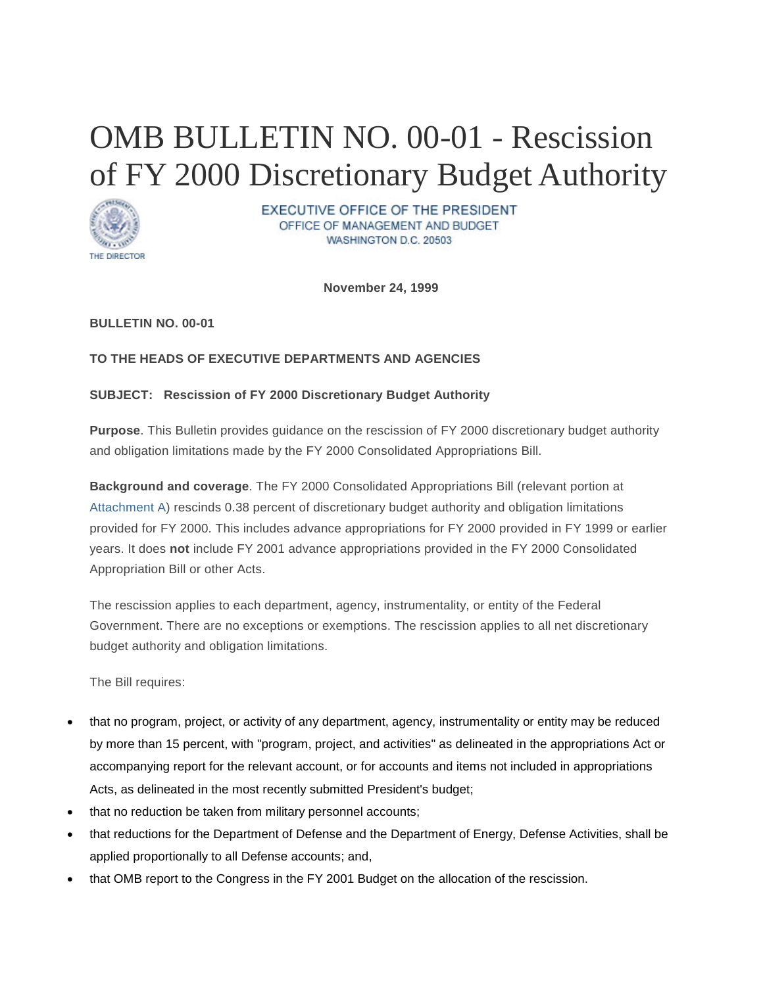# OMB BULLETIN NO. 00-01 - Rescission of FY 2000 Discretionary Budget Authority



**EXECUTIVE OFFICE OF THE PRESIDENT** OFFICE OF MANAGEMENT AND BUDGET WASHINGTON D.C. 20503

**November 24, 1999** 

**BULLETIN NO. 00-01**

## **TO THE HEADS OF EXECUTIVE DEPARTMENTS AND AGENCIES**

## **SUBJECT: Rescission of FY 2000 Discretionary Budget Authority**

**Purpose**. This Bulletin provides guidance on the rescission of FY 2000 discretionary budget authority and obligation limitations made by the FY 2000 Consolidated Appropriations Bill.

**Background and coverage**. The FY 2000 Consolidated Appropriations Bill (relevant portion at [Attachment A\)](https://www.whitehouse.gov/omb/bulletins_b00-01#a) rescinds 0.38 percent of discretionary budget authority and obligation limitations provided for FY 2000. This includes advance appropriations for FY 2000 provided in FY 1999 or earlier years. It does **not** include FY 2001 advance appropriations provided in the FY 2000 Consolidated Appropriation Bill or other Acts.

The rescission applies to each department, agency, instrumentality, or entity of the Federal Government. There are no exceptions or exemptions. The rescission applies to all net discretionary budget authority and obligation limitations.

The Bill requires:

- that no program, project, or activity of any department, agency, instrumentality or entity may be reduced by more than 15 percent, with "program, project, and activities" as delineated in the appropriations Act or accompanying report for the relevant account, or for accounts and items not included in appropriations Acts, as delineated in the most recently submitted President's budget;
- that no reduction be taken from military personnel accounts;
- that reductions for the Department of Defense and the Department of Energy, Defense Activities, shall be applied proportionally to all Defense accounts; and,
- that OMB report to the Congress in the FY 2001 Budget on the allocation of the rescission.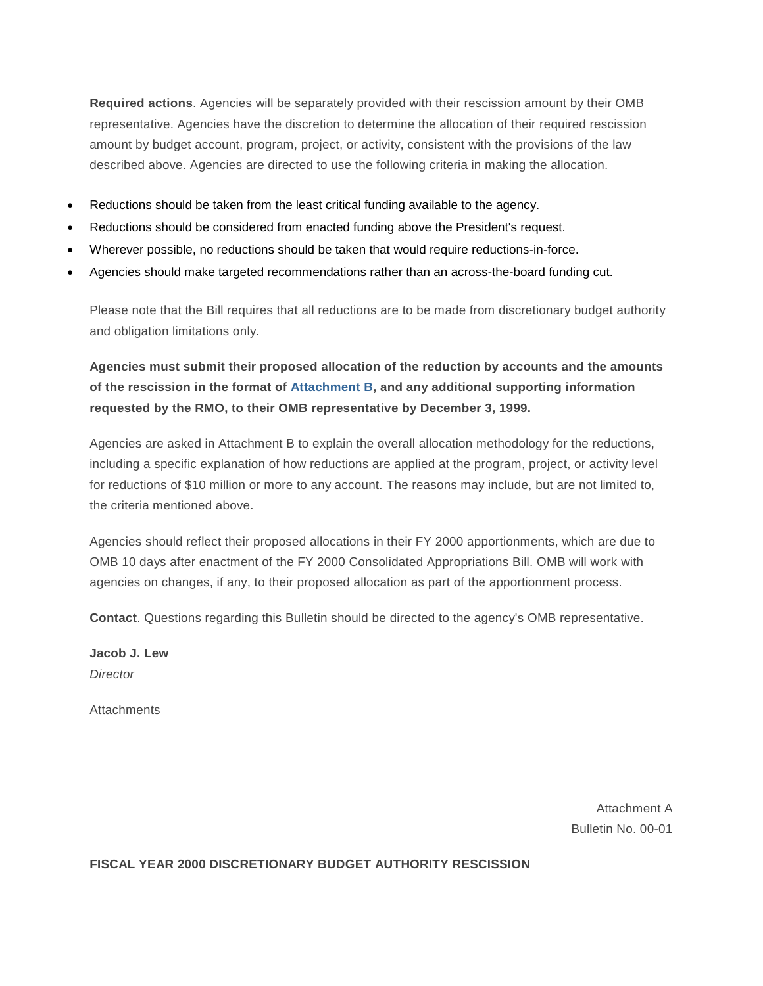**Required actions**. Agencies will be separately provided with their rescission amount by their OMB representative. Agencies have the discretion to determine the allocation of their required rescission amount by budget account, program, project, or activity, consistent with the provisions of the law described above. Agencies are directed to use the following criteria in making the allocation.

- Reductions should be taken from the least critical funding available to the agency.
- Reductions should be considered from enacted funding above the President's request.
- Wherever possible, no reductions should be taken that would require reductions-in-force.
- Agencies should make targeted recommendations rather than an across-the-board funding cut.

Please note that the Bill requires that all reductions are to be made from discretionary budget authority and obligation limitations only.

**Agencies must submit their proposed allocation of the reduction by accounts and the amounts of the rescission in the format of [Attachment B,](https://www.whitehouse.gov/omb/bulletins_b00-01#b) and any additional supporting information requested by the RMO, to their OMB representative by December 3, 1999.** 

Agencies are asked in Attachment B to explain the overall allocation methodology for the reductions, including a specific explanation of how reductions are applied at the program, project, or activity level for reductions of \$10 million or more to any account. The reasons may include, but are not limited to, the criteria mentioned above.

Agencies should reflect their proposed allocations in their FY 2000 apportionments, which are due to OMB 10 days after enactment of the FY 2000 Consolidated Appropriations Bill. OMB will work with agencies on changes, if any, to their proposed allocation as part of the apportionment process.

**Contact**. Questions regarding this Bulletin should be directed to the agency's OMB representative.

**Jacob J. Lew** *Director*

**Attachments** 

Attachment A Bulletin No. 00-01

**FISCAL YEAR 2000 DISCRETIONARY BUDGET AUTHORITY RESCISSION**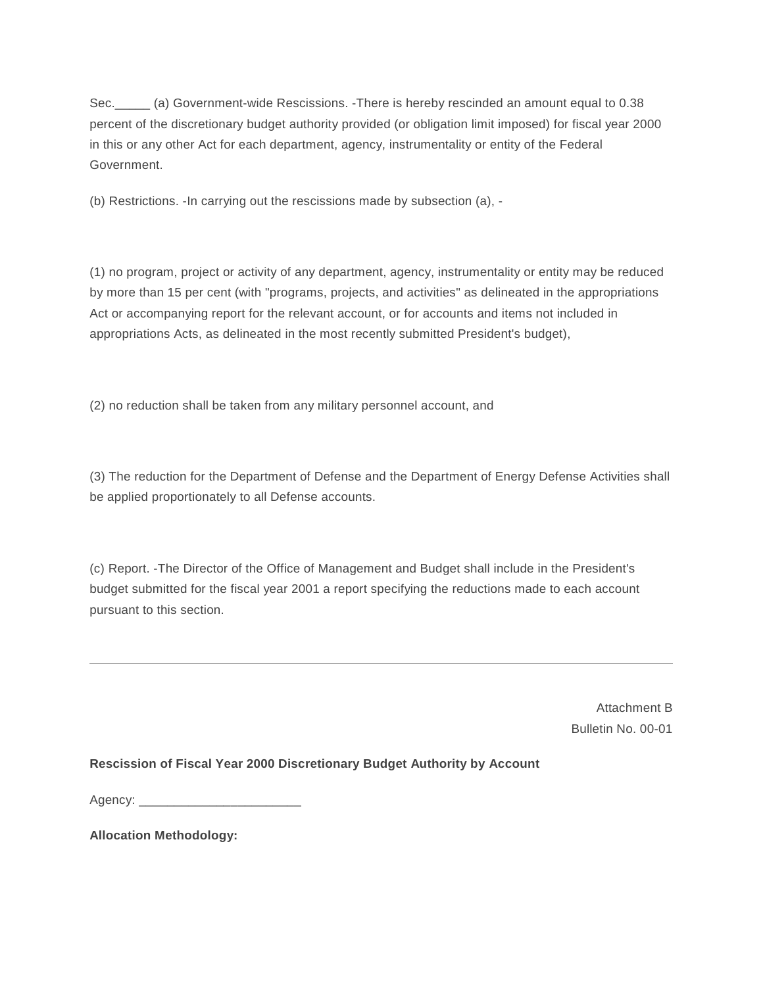Sec.\_\_\_\_\_ (a) Government-wide Rescissions. -There is hereby rescinded an amount equal to 0.38 percent of the discretionary budget authority provided (or obligation limit imposed) for fiscal year 2000 in this or any other Act for each department, agency, instrumentality or entity of the Federal Government.

(b) Restrictions. -In carrying out the rescissions made by subsection (a), -

(1) no program, project or activity of any department, agency, instrumentality or entity may be reduced by more than 15 per cent (with "programs, projects, and activities" as delineated in the appropriations Act or accompanying report for the relevant account, or for accounts and items not included in appropriations Acts, as delineated in the most recently submitted President's budget),

(2) no reduction shall be taken from any military personnel account, and

(3) The reduction for the Department of Defense and the Department of Energy Defense Activities shall be applied proportionately to all Defense accounts.

(c) Report. -The Director of the Office of Management and Budget shall include in the President's budget submitted for the fiscal year 2001 a report specifying the reductions made to each account pursuant to this section.

> Attachment B Bulletin No. 00-01

**Rescission of Fiscal Year 2000 Discretionary Budget Authority by Account**

Agency: \_\_\_\_\_\_\_\_\_\_\_\_\_\_\_\_\_\_\_\_\_\_\_

**Allocation Methodology:**